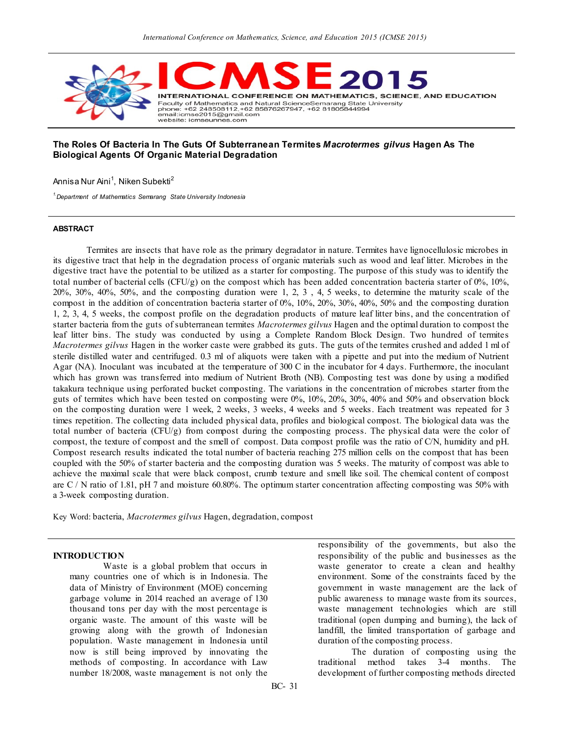

#### **The Roles Of Bacteria In The Guts Of Subterranean Termites** *Macrotermes gilvus* **Hagen As The Biological Agents Of Organic Material Degradation**

Annisa Nur Aini<sup>1</sup>, Niken Subekti<sup>2</sup>

*1.Department of Mathematics Semarang State University Indonesia*

#### **ABSTRACT**

Termites are insects that have role as the primary degradator in nature. Termites have lignocellulosic microbes in its digestive tract that help in the degradation process of organic materials such as wood and leaf litter. Microbes in the digestive tract have the potential to be utilized as a starter for composting. The purpose of this study was to identify the total number of bacterial cells (CFU/g) on the compost which has been added concentration bacteria starter of  $0\%$ ,  $10\%$ , 20%, 30%, 40%, 50%, and the composting duration were 1, 2, 3 , 4, 5 weeks, to determine the maturity scale of the compost in the addition of concentration bacteria starter of 0%, 10%, 20%, 30%, 40%, 50% and the composting duration 1, 2, 3, 4, 5 weeks, the compost profile on the degradation products of mature leaf litter bins, and the concentration of starter bacteria from the guts of subterranean termites *Macrotermes gilvus* Hagen and the optimal duration to compost the leaf litter bins. The study was conducted by using a Complete Random Block Design. Two hundred of termites *Macrotermes gilvus* Hagen in the worker caste were grabbed its guts. The guts of the termites crushed and added 1 ml of sterile distilled water and centrifuged. 0.3 ml of aliquots were taken with a pipette and put into the medium of Nutrient Agar (NA). Inoculant was incubated at the temperature of 300 C in the incubator for 4 days. Furthermore, the inoculant which has grown was transferred into medium of Nutrient Broth (NB). Composting test was done by using a modified takakura technique using perforated bucket composting. The variations in the concentration of microbes starter from the guts of termites which have been tested on composting were 0%, 10%, 20%, 30%, 40% and 50% and observation block on the composting duration were 1 week, 2 weeks, 3 weeks, 4 weeks and 5 weeks. Each treatment was repeated for 3 times repetition. The collecting data included physical data, profiles and biological compost. The biological data was the total number of bacteria (CFU/g) from compost during the composting process. The physical data were the color of compost, the texture of compost and the smell of compost. Data compost profile was the ratio of C/N, humidity and pH. Compost research results indicated the total number of bacteria reaching 275 million cells on the compost that has been coupled with the 50% of starter bacteria and the composting duration was 5 weeks. The maturity of compost was able to achieve the maximal scale that were black compost, crumb texture and smell like soil. The chemical content of compost are C / N ratio of 1.81, pH 7 and moisture 60.80%. The optimum starter concentration affecting composting was 50% with a 3-week composting duration.

Key Word: bacteria, *Macrotermes gilvus* Hagen, degradation, compost

#### **INTRODUCTION**

Waste is a global problem that occurs in many countries one of which is in Indonesia. The data of Ministry of Environment (MOE) concerning garbage volume in 2014 reached an average of 130 thousand tons per day with the most percentage is organic waste. The amount of this waste will be growing along with the growth of Indonesian population. Waste management in Indonesia until now is still being improved by innovating the methods of composting. In accordance with Law number 18/2008, waste management is not only the responsibility of the governments, but also the responsibility of the public and businesses as the waste generator to create a clean and healthy environment. Some of the constraints faced by the government in waste management are the lack of public awareness to manage waste from its sources, waste management technologies which are still traditional (open dumping and burning), the lack of landfill, the limited transportation of garbage and duration of the composting process.

The duration of composting using the traditional method takes 3-4 months. The development of further composting methods directed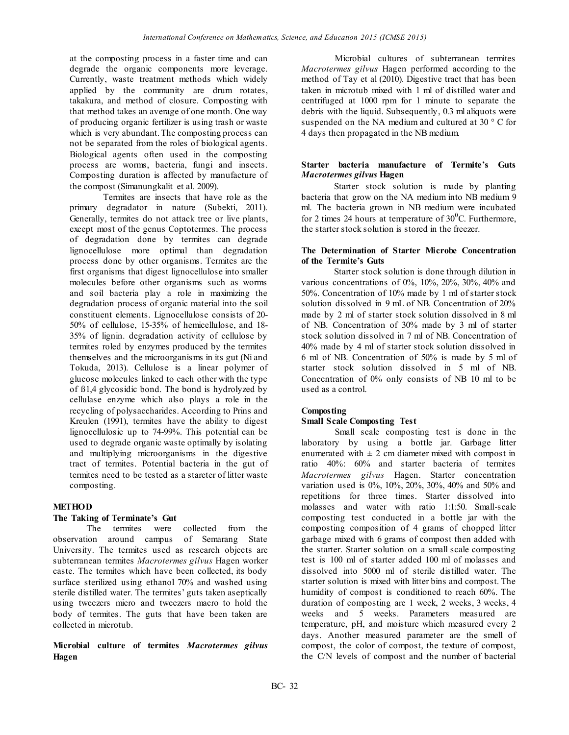at the composting process in a faster time and can degrade the organic components more leverage. Currently, waste treatment methods which widely applied by the community are drum rotates, takakura, and method of closure. Composting with that method takes an average of one month. One way of producing organic fertilizer is using trash or waste which is very abundant. The composting process can not be separated from the roles of biological agents. Biological agents often used in the composting process are worms, bacteria, fungi and insects. Composting duration is affected by manufacture of the compost (Simanungkalit et al. 2009).

Termites are insects that have role as the primary degradator in nature (Subekti, 2011). Generally, termites do not attack tree or live plants, except most of the genus Coptotermes. The process of degradation done by termites can degrade lignocellulose more optimal than degradation process done by other organisms. Termites are the first organisms that digest lignocellulose into smaller molecules before other organisms such as worms and soil bacteria play a role in maximizing the degradation process of organic material into the soil constituent elements. Lignocellulose consists of 20- 50% of cellulose, 15-35% of hemicellulose, and 18- 35% of lignin. degradation activity of cellulose by termites roled by enzymes produced by the termites themselves and the microorganisms in its gut (Ni and Tokuda, 2013). Cellulose is a linear polymer of glucose molecules linked to each other with the type of ß1,4 glycosidic bond. The bond is hydrolyzed by cellulase enzyme which also plays a role in the recycling of polysaccharides. According to Prins and Kreulen (1991), termites have the ability to digest lignocellulosic up to 74-99%. This potential can be used to degrade organic waste optimally by isolating and multiplying microorganisms in the digestive tract of termites. Potential bacteria in the gut of termites need to be tested as a stareter of litter waste composting.

## **METHOD**

## **The Taking of Terminate's Gut**

The termites were collected from the observation around campus of Semarang State University. The termites used as research objects are subterranean termites *Macrotermes gilvus* Hagen worker caste. The termites which have been collected, its body surface sterilized using ethanol 70% and washed using sterile distilled water. The termites' guts taken aseptically using tweezers micro and tweezers macro to hold the body of termites. The guts that have been taken are collected in microtub.

**Microbial culture of termites** *Macrotermes gilvus* **Hagen** 

Microbial cultures of subterranean termites *Macrotermes gilvus* Hagen performed according to the method of Tay et al (2010). Digestive tract that has been taken in microtub mixed with 1 ml of distilled water and centrifuged at 1000 rpm for 1 minute to separate the debris with the liquid. Subsequently, 0.3 ml aliquots were suspended on the NA medium and cultured at 30 ° C for 4 days then propagated in the NB medium.

#### **Starter bacteria manufacture of Termite's Guts**  *Macrotermes gilvus* **Hagen**

Starter stock solution is made by planting bacteria that grow on the NA medium into NB medium 9 ml. The bacteria grown in NB medium were incubated for 2 times 24 hours at temperature of  $30^{\circ}$ C. Furthermore, the starter stock solution is stored in the freezer.

#### **The Determination of Starter Microbe Concentration of the Termite's Guts**

Starter stock solution is done through dilution in various concentrations of 0%, 10%, 20%, 30%, 40% and 50%. Concentration of 10% made by 1 ml of starter stock solution dissolved in 9 mL of NB. Concentration of 20% made by 2 ml of starter stock solution dissolved in 8 ml of NB. Concentration of 30% made by 3 ml of starter stock solution dissolved in 7 ml of NB. Concentration of 40% made by 4 ml of starter stock solution dissolved in 6 ml of NB. Concentration of 50% is made by 5 ml of starter stock solution dissolved in 5 ml of NB. Concentration of 0% only consists of NB 10 ml to be used as a control.

## **Composting**

## **Small Scale Composting Test**

Small scale composting test is done in the laboratory by using a bottle jar. Garbage litter enumerated with  $\pm 2$  cm diameter mixed with compost in ratio 40%: 60% and starter bacteria of termites *Macrotermes gilvus* Hagen. Starter concentration variation used is 0%, 10%, 20%, 30%, 40% and 50% and repetitions for three times. Starter dissolved into molasses and water with ratio 1:1:50. Small-scale composting test conducted in a bottle jar with the composting composition of 4 grams of chopped litter garbage mixed with 6 grams of compost then added with the starter. Starter solution on a small scale composting test is 100 ml of starter added 100 ml of molasses and dissolved into 5000 ml of sterile distilled water. The starter solution is mixed with litter bins and compost. The humidity of compost is conditioned to reach 60%. The duration of composting are 1 week, 2 weeks, 3 weeks, 4 weeks and 5 weeks. Parameters measured are temperature, pH, and moisture which measured every 2 days. Another measured parameter are the smell of compost, the color of compost, the texture of compost, the C/N levels of compost and the number of bacterial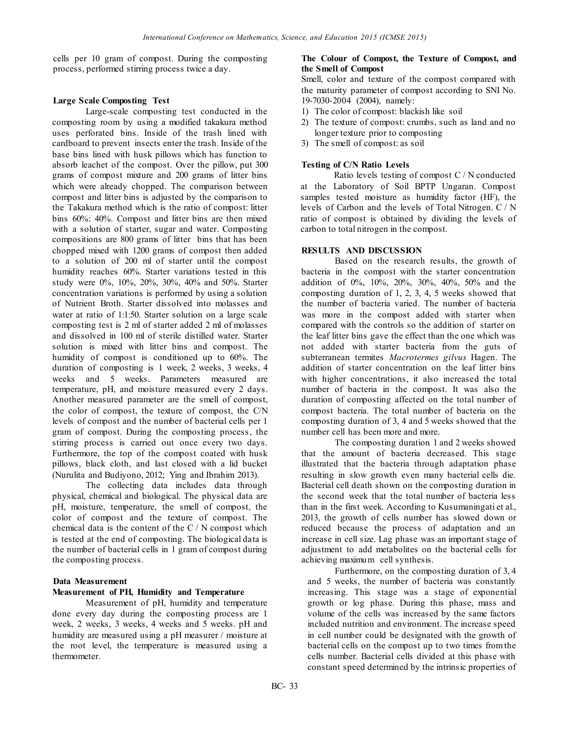cells per 10 gram of compost. During the composting process, performed stirring process twice a day.

#### **Large Scale Composting Test**

Large-scale composting test conducted in the composting room by using a modified takakura method uses perforated bins. Inside of the trash lined with cardboard to prevent insects enter the trash. Inside of the base bins lined with husk pillows which has function to absorb leachet of the compost. Over the pillow, put 300 grams of compost mixture and 200 grams of litter bins which were already chopped. The comparison between compost and litter bins is adjusted by the comparison to the Takakura method which is the ratio of compost: litter bins 60%: 40%. Compost and litter bins are then mixed with a solution of starter, sugar and water. Composting compositions are 800 grams of litter bins that has been chopped mixed with 1200 grams of compost then added to a solution of 200 ml of starter until the compost humidity reaches 60%. Starter variations tested in this study were 0%, 10%, 20%, 30%, 40% and 50%. Starter concentration variations is performed by using a solution of Nutrient Broth. Starter dissolved into molasses and water at ratio of 1:1:50. Starter solution on a large scale composting test is 2 ml of starter added 2 ml of molasses and dissolved in 100 ml of sterile distilled water. Starter solution is mixed with litter bins and compost. The humidity of compost is conditioned up to 60%. The duration of composting is 1 week, 2 weeks, 3 weeks, 4 weeks and 5 weeks. Parameters measured are temperature, pH, and moisture measured every 2 days. Another measured parameter are the smell of compost, the color of compost, the texture of compost, the C/N levels of compost and the number of bacterial cells per 1 gram of compost. During the composting process, the stirring process is carried out once every two days. Furthermore, the top of the compost coated with husk pillows, black cloth, and last closed with a lid bucket (Nurulita and Budiyono, 2012; Ying and Ibrahim 2013).

The collecting data includes data through physical, chemical and biological. The physical data are pH, moisture, temperature, the smell of compost, the color of compost and the texture of compost. The chemical data is the content of the C / N compost which is tested at the end of composting. The biological data is the number of bacterial cells in 1 gram of compost during the composting process.

## **Data Measurement**

#### **Measurement of PH, Humidity and Temperature**

Measurement of pH, humidity and temperature done every day during the composting process are 1 week, 2 weeks, 3 weeks, 4 weeks and 5 weeks. pH and humidity are measured using a pH measurer / moisture at the root level, the temperature is measured using a thermometer.

## **The Colour of Compost, the Texture of Compost, and the Smell of Compost**

Smell, color and texture of the compost compared with the maturity parameter of compost according to SNI No. 19-7030-2004 (2004), namely:

- 1) The color of compost: blackish like soil
- 2) The texture of compost: crumbs, such as land and no longer texture prior to composting
- 3) The smell of compost: as soil

## **Testing of C/N Ratio Levels**

Ratio levels testing of compost C / N conducted at the Laboratory of Soil BPTP Ungaran. Compost samples tested moisture as humidity factor (HF), the levels of Carbon and the levels of Total Nitrogen. C / N ratio of compost is obtained by dividing the levels of carbon to total nitrogen in the compost.

## **RESULTS AND DISCUSSION**

Based on the research results, the growth of bacteria in the compost with the starter concentration addition of 0%, 10%, 20%, 30%, 40%, 50% and the composting duration of 1, 2, 3, 4, 5 weeks showed that the number of bacteria varied. The number of bacteria was more in the compost added with starter when compared with the controls so the addition of starter on the leaf litter bins gave the effect than the one which was not added with starter bacteria from the guts of subterranean termites *Macrotermes gilvus* Hagen. The addition of starter concentration on the leaf litter bins with higher concentrations, it also increased the total number of bacteria in the compost. It was also the duration of composting affected on the total number of compost bacteria. The total number of bacteria on the composting duration of 3, 4 and 5 weeks showed that the number cell has been more and more.

The composting duration 1 and 2 weeks showed that the amount of bacteria decreased. This stage illustrated that the bacteria through adaptation phase resulting in slow growth even many bacterial cells die. Bacterial cell death shown on the composting duration in the second week that the total number of bacteria less than in the first week. According to Kusumaningati et al., 2013, the growth of cells number has slowed down or reduced because the process of adaptation and an increase in cell size. Lag phase was an important stage of adjustment to add metabolites on the bacterial cells for achieving maximum cell synthesis.

Furthermore, on the composting duration of 3, 4 and 5 weeks, the number of bacteria was constantly increasing. This stage was a stage of exponential growth or log phase. During this phase, mass and volume of the cells was increased by the same factors included nutrition and environment. The increase speed in cell number could be designated with the growth of bacterial cells on the compost up to two times from the cells number. Bacterial cells divided at this phase with constant speed determined by the intrinsic properties of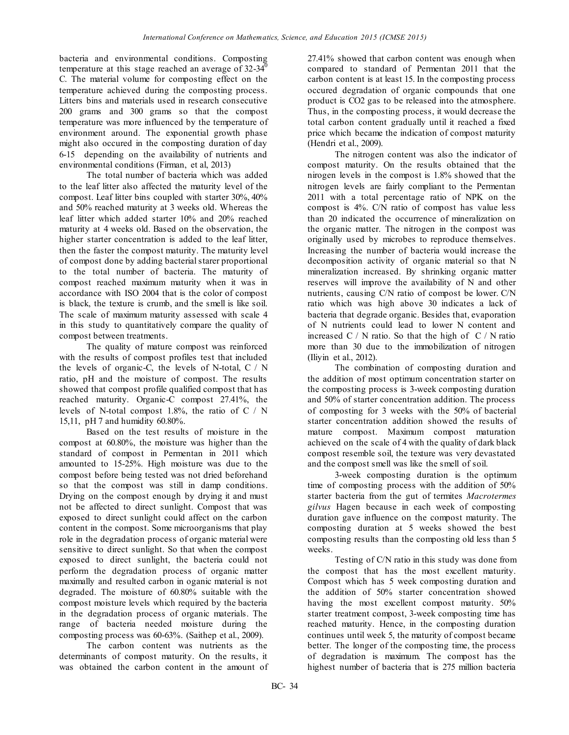bacteria and environmental conditions. Composting temperature at this stage reached an average of  $32-34^{\circ}$ C. The material volume for composting effect on the temperature achieved during the composting process. Litters bins and materials used in research consecutive 200 grams and 300 grams so that the compost temperature was more influenced by the temperature of environment around. The exponential growth phase might also occured in the composting duration of day 6-15 depending on the availability of nutrients and environmental conditions (Firman, et al, 2013)

The total number of bacteria which was added to the leaf litter also affected the maturity level of the compost. Leaf litter bins coupled with starter 30%, 40% and 50% reached maturity at 3 weeks old. Whereas the leaf litter which added starter 10% and 20% reached maturity at 4 weeks old. Based on the observation, the higher starter concentration is added to the leaf litter, then the faster the compost maturity. The maturity level of compost done by adding bacterial starer proportional to the total number of bacteria. The maturity of compost reached maximum maturity when it was in accordance with ISO 2004 that is the color of compost is black, the texture is crumb, and the smell is like soil. The scale of maximum maturity assessed with scale 4 in this study to quantitatively compare the quality of compost between treatments.

The quality of mature compost was reinforced with the results of compost profiles test that included the levels of organic-C, the levels of N-total,  $C / N$ ratio, pH and the moisture of compost. The results showed that compost profile qualified compost that has reached maturity. Organic-C compost 27.41%, the levels of N-total compost 1.8%, the ratio of C / N 15,11, pH 7 and humidity 60.80%.

Based on the test results of moisture in the compost at 60.80%, the moisture was higher than the standard of compost in Permentan in 2011 which amounted to 15-25%. High moisture was due to the compost before being tested was not dried beforehand so that the compost was still in damp conditions. Drying on the compost enough by drying it and must not be affected to direct sunlight. Compost that was exposed to direct sunlight could affect on the carbon content in the compost. Some microorganisms that play role in the degradation process of organic material were sensitive to direct sunlight. So that when the compost exposed to direct sunlight, the bacteria could not perform the degradation process of organic matter maximally and resulted carbon in oganic material is not degraded. The moisture of 60.80% suitable with the compost moisture levels which required by the bacteria in the degradation process of organic materials. The range of bacteria needed moisture during the composting process was 60-63%. (Saithep et al., 2009).

The carbon content was nutrients as the determinants of compost maturity. On the results, it was obtained the carbon content in the amount of 27.41% showed that carbon content was enough when compared to standard of Permentan 2011 that the carbon content is at least 15. In the composting process occured degradation of organic compounds that one product is CO2 gas to be released into the atmosphere. Thus, in the composting process, it would decrease the total carbon content gradually until it reached a fixed price which became the indication of compost maturity (Hendri et al., 2009).

The nitrogen content was also the indicator of compost maturity. On the results obtained that the nirogen levels in the compost is 1.8% showed that the nitrogen levels are fairly compliant to the Permentan 2011 with a total percentage ratio of NPK on the compost is 4%. C/N ratio of compost has value less than 20 indicated the occurrence of mineralization on the organic matter. The nitrogen in the compost was originally used by microbes to reproduce themselves. Increasing the number of bacteria would increase the decomposition activity of organic material so that N mineralization increased. By shrinking organic matter reserves will improve the availability of N and other nutrients, causing C/N ratio of compost be lower. C/N ratio which was high above 30 indicates a lack of bacteria that degrade organic. Besides that, evaporation of N nutrients could lead to lower N content and increased  $C / N$  ratio. So that the high of  $C / N$  ratio more than 30 due to the immobilization of nitrogen (Iliyin et al., 2012).

The combination of composting duration and the addition of most optimum concentration starter on the composting process is 3-week composting duration and 50% of starter concentration addition. The process of composting for 3 weeks with the 50% of bacterial starter concentration addition showed the results of mature compost. Maximum compost maturation achieved on the scale of 4 with the quality of dark black compost resemble soil, the texture was very devastated and the compost smell was like the smell of soil.

3-week composting duration is the optimum time of composting process with the addition of 50% starter bacteria from the gut of termites *Macrotermes gilvus* Hagen because in each week of composting duration gave influence on the compost maturity. The composting duration at 5 weeks showed the best composting results than the composting old less than 5 weeks.

Testing of C/N ratio in this study was done from the compost that has the most excellent maturity. Compost which has 5 week composting duration and the addition of 50% starter concentration showed having the most excellent compost maturity. 50% starter treatment compost, 3-week composting time has reached maturity. Hence, in the composting duration continues until week 5, the maturity of compost became better. The longer of the composting time, the process of degradation is maximum. The compost has the highest number of bacteria that is 275 million bacteria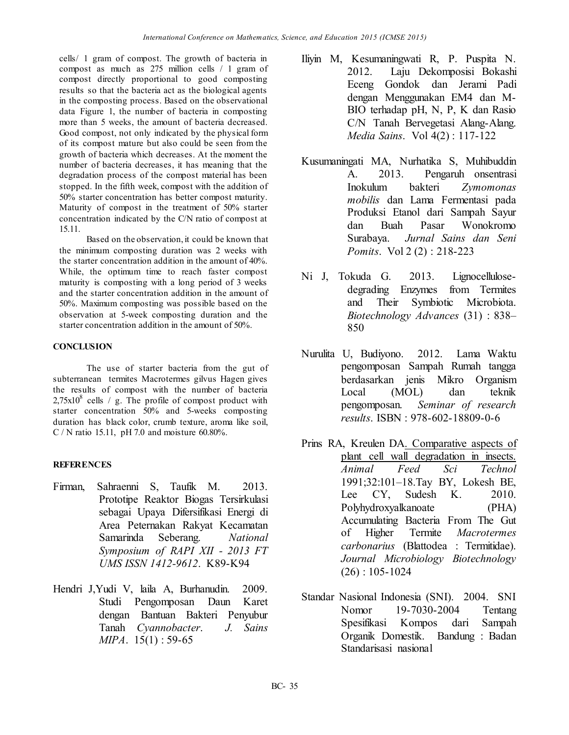cells/ 1 gram of compost. The growth of bacteria in compost as much as 275 million cells / 1 gram of compost directly proportional to good composting results so that the bacteria act as the biological agents in the composting process. Based on the observational data Figure 1, the number of bacteria in composting more than 5 weeks, the amount of bacteria decreased. Good compost, not only indicated by the physical form of its compost mature but also could be seen from the growth of bacteria which decreases. At the moment the number of bacteria decreases, it has meaning that the degradation process of the compost material has been stopped. In the fifth week, compost with the addition of 50% starter concentration has better compost maturity. Maturity of compost in the treatment of 50% starter concentration indicated by the C/N ratio of compost at 15.11.

Based on the observation, it could be known that the minimum composting duration was 2 weeks with the starter concentration addition in the amount of 40%. While, the optimum time to reach faster compost maturity is composting with a long period of 3 weeks and the starter concentration addition in the amount of 50%. Maximum composting was possible based on the observation at 5-week composting duration and the starter concentration addition in the amount of 50%.

# **CONCLUSION**

The use of starter bacteria from the gut of subterranean termites Macrotermes gilvus Hagen gives the results of compost with the number of bacteria  $2,75x10^8$  cells / g. The profile of compost product with starter concentration 50% and 5-weeks composting duration has black color, crumb texture, aroma like soil, C / N ratio 15.11, pH 7.0 and moisture 60.80%.

# **REFERENCES**

- Firman, Sahraenni S, Taufik M. 2013. Prototipe Reaktor Biogas Tersirkulasi sebagai Upaya Difersifikasi Energi di Area Peternakan Rakyat Kecamatan Samarinda Seberang. *National Symposium of RAPI XII - 2013 FT UMS ISSN 1412-9612*. K89-K94
- Hendri J,Yudi V, laila A, Burhanudin. 2009. Studi Pengomposan Daun Karet dengan Bantuan Bakteri Penyubur Tanah *Cyannobacter*. *J. Sains MIPA*. 15(1) : 59-65
- Iliyin M, Kesumaningwati R, P. Puspita N. 2012. Laju Dekomposisi Bokashi Eceng Gondok dan Jerami Padi dengan Menggunakan EM4 dan M-BIO terhadap pH, N, P, K dan Rasio C/N Tanah Bervegetasi Alang-Alang. *Media Sains*. Vol 4(2) : 117-122
- Kusumaningati MA, Nurhatika S, Muhibuddin A. 2013. Pengaruh onsentrasi Inokulum bakteri *Zymomonas mobilis* dan Lama Fermentasi pada Produksi Etanol dari Sampah Sayur dan Buah Pasar Wonokromo Surabaya. *Jurnal Sains dan Seni Pomits*. Vol 2 (2) : 218-223
- Ni J, Tokuda G. 2013. Lignocellulosedegrading Enzymes from Termites and Their Symbiotic Microbiota. *Biotechnology Advances* (31) : 838– 850
- Nurulita U, Budiyono. 2012. Lama Waktu pengomposan Sampah Rumah tangga berdasarkan jenis Mikro Organism Local (MOL) dan teknik pengomposan. *Seminar of research results*. ISBN : 978-602-18809-0-6
- Prins RA, Kreulen DA. Comparative aspects of plant cell wall degradation in insects. *Animal Feed Sci Technol* 1991;32:101–18.Tay BY, Lokesh BE, Lee CY, Sudesh K. 2010. Polyhydroxyalkanoate (PHA) Accumulating Bacteria From The Gut of Higher Termite *Macrotermes carbonarius* (Blattodea : Termitidae). *Journal Microbiology Biotechnology* (26) : 105-1024
- Standar Nasional Indonesia (SNI). 2004. SNI Nomor 19-7030-2004 Tentang Spesifikasi Kompos dari Sampah Organik Domestik. Bandung : Badan Standarisasi nasional